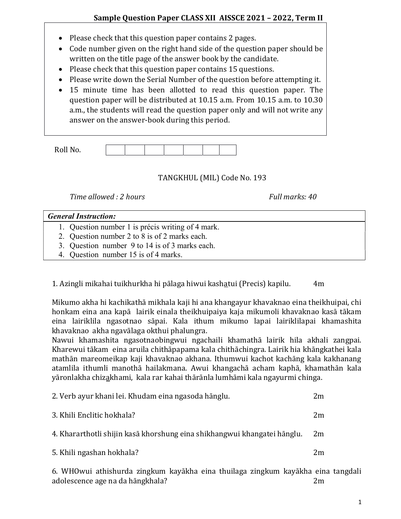- Please check that this question paper contains 2 pages.
- Code number given on the right hand side of the question paper should be written on the title page of the answer book by the candidate.
- Please check that this question paper contains 15 questions.
- Please write down the Serial Number of the question before attempting it.
- 15 minute time has been allotted to read this question paper. The question paper will be distributed at 10.15 a.m. From 10.15 a.m. to 10.30 a.m., the students will read the question paper only and will not write any answer on the answer-book during this period.

| $D0$ ll N <sub>c</sub><br><b>IVOIL IVO.</b> |  |  |  |  |
|---------------------------------------------|--|--|--|--|

## TANGKHUL (MIL) Code No. 193

Time allowed : 2 hours Full marks: 40

## General Instruction:

- 1. Question number 1 is précis writing of 4 mark.
- 2. Question number 2 to 8 is of 2 marks each.
- 3. Question number 9 to 14 is of 3 marks each.
- 4. Question number 15 is of 4 marks.
- 1. Azingli mikahai tuikhurkha hi pālaga hiwui kashatui (Precis) kapilu. 4m

Mikumo akha hi kachikathā mikhala kaji hi ana khangayur khavaknao eina theikhuipai, chi honkam eina ana kapā lairik einala theikhuipaiya kaja mikumoli khavaknao kasā tākam eina lairiklila ngasotnao sāpai. Kala ithum mikumo lapai lairiklilapai khamashita khavaknao akha ngavālaga okthui phalungra.

Nawui khamashita ngasotnaobingwui ngachaili khamathā lairik hila akhali zangpai. Kharewui tākam eina aruila chithāpapama kala chithāchingra. Lairik hia khāngkathei kala mathān mareomeikap kaji khavaknao akhana. Ithumwui kachot kachāng kala kakhanang atamlila ithumli manothā hailakmana. Awui khangachā acham kaphā, khamathān kala yāronlakha chizakhami, kala rar kahai thārānla lumhāmi kala ngayurmi chinga.

| 2. Verb ayur khani lei. Khudam eina ngasoda hānglu.                      |    |  |
|--------------------------------------------------------------------------|----|--|
| 3. Khili Enclitic hokhala?                                               | 2m |  |
| 4. Khararthotli shijin kasā khorshung eina shikhangwui khangatei hānglu. | 2m |  |
| 5. Khili ngashan hokhala?                                                | 2m |  |
|                                                                          |    |  |

6. WHOwui athishurda zingkum kayākha eina thuilaga zingkum kayākha eina tangdali adolescence age na da hāngkhala? 2m